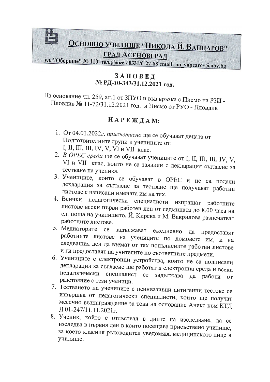

#### ЗАПОВЕД № РД-10-343/31.12.2021 год.

На основание чл. 259, ал.1 от ЗПУО и във връзка с Писмо на РЗИ -Пловдив № 11-72/31.12.2021 год. и Писмо от РУО - Пловдив

#### НАРЕЖДАМ:

- 1. От 04.01.2022г. присъствено ще се обучават децата от Подготвителните групи и учениците от: I, II, III, IV, V, VI и VII клас.
- 2. В ОРЕС среда ще се обучават учениците от I, II, III, III, IV, V, VI и VII клас, които не са заявили с декларация съгласие за тестване на ученика.
- 3. Учениците, които се обучават в ОРЕС и не са подали декларация за съгласие за тестване ще получават работни листове с изписани имената им на тях.
- 4. Всички педагогически специалисти изпращат работните листове всеки първи работен ден от седмицата до 8.00 часа на ел. поща на училището. Й. Кирева и М. Вакрилова разпечатват работните листове.
- 5. Медиаторите се задължават ежедневно предоставят да работните листове на учениците по домовете им, и на следващия ден да вземат от тях попълнените работни листове и ги предоставят на учителите по съответните предмети.
- 6. Учениците с електронни устройства, които не са подписали декларации за съгласие ще работят в електронна среда и всеки педагогически специалист ce задължава да работи **OT** разстояние с тези ученици.
- 7. Тестването на учениците с неинвазивни антигенни тестове се извършва от педагогически специалисти, които ще получат месечно възнаграждение за това на основание Анекс към КТД Д 01-247/11.11.2021г.
- 8. Ученик, който е отсъствал в дните на изследване, да се изследва в първия ден в които посещава присъствено училище, за което класния ръководител уведомява медицинското лице в училище.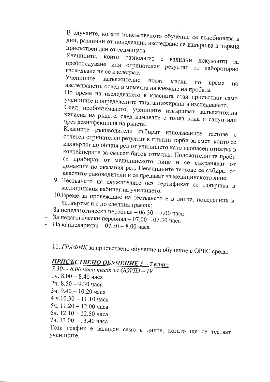В случаите, когато присъственото обучение се възобновява в дни, различни от понеделник изследване се извършва в първия присъствен ден от седмицата.

Учениците, които разполагат с валидни документи преболедуване или отрицателен резултат от лабораторно изследване не се изследват.

Учениците задължително носят маски ПО време изследването, освен в момента на вземане на пробата. Ha

По време на изследването в класната стая присъстват само учениците и определените лица ангажирани в изследването.

След пробовземането, учениците извършват задължителна хигиена на ръцете, след измиване с топла вода и сапун или чрез дезинфекцишя на ръцете.

Класните ръководители събират използваните тестове с отчетен отрицателен резултат в плътни торби за смет, които се изхвърлят по общия ред от училището като неопасен отпадък в контейнерите за смесен битов отпадък. Положителните проби се прибират от медицинското лице и се съхраняват от домакина по оказания ред. Невалидните тестове се събират от класните ръководители и се предават на медицинското лице.

- 9. Тестването на служителите без сертификат се извършва в медицинския кабинет на училището.
- 10. Време за провеждане на тестването е в дните, понеделник и четвъртък и е по следния график:
- За непедагогически персонал 06.30 7.00 часа
- За педагогически персонал 07.00 07.30 часа
- На канцеларията 07.30 8.00 часа

11. ГРАФИК за присъствено обучение и обучение в ОРЕС среда:

### ПРИСЪСТВЕНО ОБУЧЕНИЕ 5-7 клас:

7.30 - - 8.00 часа тест за GOVID - 19 1ч. 8.00 - 8.40 часа 2ч. 8.50 - 9.30 часа 3ч. 9.40 - 10.20 часа 4 ч.10.30 - 11.10 часа 5ч. 11.20 - 12.00 часа бч. 12.10 - 12.50 часа 7ч. 13.00 - 13.40 часа

Този график е валиден само в дните, когато ще се тестват учениците.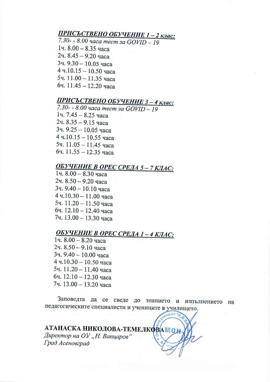### **ПРИСЪСТВЕНО ОБУЧЕНИЕ 1 - 2 клас:**

7. *3 0-* - *8. 00 l/aca mecm 3a GOVID* - *19*  1ч. 8.00 - 8.35 часа 2ч.  $8.45 - 9.20$  часа  $3$ ч. 9.30 - 10.05 часа 4 ч.10.15 - 10.50 часа 5ч.  $11.00 - 11.35$  часа  $6$ ч. 11.45 - 12.20 часа

## **ПРИСЪСТВЕНО ОБУЧЕНИЕ 3 - 4 клас:**

*7.30-* - *8.00 l/aca mecm 3a GOVID-19*  1ч. 7.45 - 8.25 часа 2ч. 8.35 - 9.15 часа  $3$ ч. 9.25 - 10.05 часа  $4$  ч.10.15 - 10.55 часа 5ч.  $11.05 - 11.45$  часа  $6$ ч. 11.55 - 12.35 часа

### **ОБУЧЕНИЕ В ОРЕС СРЕДА 5 - 7 КЛАС:**

1ч.  $8.00 - 8.30$  часа 2ч.  $8.50 - 9.20$  часа 3ч. 9.40 - 10.10 часа 4 ч.10.30 - 11.00 часа 5ч.  $11.20 - 11.50$  часа бч.  $12.10 - 12.40$  часа 7ч. 13.00 - 13.30 часа

### **ОБУЧЕНИЕ В ОРЕС СРЕДА 1-4 КЛАС:**

 $14.8.00 - 8.20$  yaca 2ч.  $8.50 - 9.10$  часа 3ч. 9.40 - 10.00 часа  $4$  ч.10.30 - 10.50 часа 5ч.  $11.20 - 11.40$  часа бч.  $12.10 - 12.30$  часа 7ч. 13.00 - 13.20 часа

Заповедта да се сведе до знанието и изпълнението на педагогическите специалисти и учениците в училището.

**лище** 

# АТАНАСКА НИКОЛОВА-ТЕМЕЛКОВАМ О  $\mu$ иректор на ОУ "Н. Вапиаров"  $I$ рад Асеновград